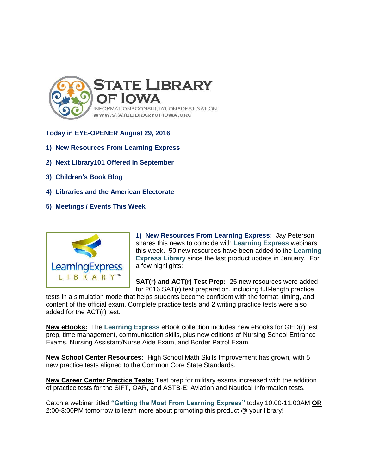

## **Today in EYE-OPENER August 29, 2016**

- **1) New Resources From Learning Express**
- **2) Next Library101 Offered in September**
- **3) Children's Book Blog**
- **4) Libraries and the American Electorate**
- **5) Meetings / Events This Week**



**1) New Resources From Learning Express:** Jay Peterson shares this news to coincide with **Learning Express** webinars this week. 50 new resources have been added to the **Learning Express Library** since the last product update in January. For a few highlights:

**SAT(r) and ACT(r) Test Prep:** 25 new resources were added for 2016 SAT(r) test preparation, including full-length practice

tests in a simulation mode that helps students become confident with the format, timing, and content of the official exam. Complete practice tests and 2 writing practice tests were also added for the ACT(r) test.

**New eBooks:** The **Learning Express** eBook collection includes new eBooks for GED(r) test prep, time management, communication skills, plus new editions of Nursing School Entrance Exams, Nursing Assistant/Nurse Aide Exam, and Border Patrol Exam.

**New School Center Resources:** High School Math Skills Improvement has grown, with 5 new practice tests aligned to the Common Core State Standards.

**New Career Center Practice Tests:** Test prep for military exams increased with the addition of practice tests for the SIFT, OAR, and ASTB-E: Aviation and Nautical Information tests.

Catch a webinar titled **"Getting the Most From Learning Express"** today 10:00-11:00AM **OR** 2:00-3:00PM tomorrow to learn more about promoting this product @ your library!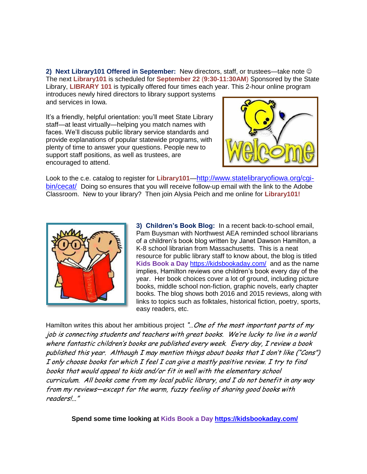**2) Next Library101 Offered in September:** New directors, staff, or trustees—take note The next **Library101** is scheduled for **September 22** (**9:30-11:30AM**) Sponsored by the State Library, **LIBRARY 101** is typically offered four times each year. This 2-hour online program

introduces newly hired directors to library support systems and services in Iowa.

It's a friendly, helpful orientation: you'll meet State Library staff—at least virtually—helping you match names with faces. We'll discuss public library service standards and provide explanations of popular statewide programs, with plenty of time to answer your questions. People new to support staff positions, as well as trustees, are encouraged to attend.



Look to the c.e. catalog to register for **Library101**—[http://www.statelibraryofiowa.org/cgi](http://www.statelibraryofiowa.org/cgi-bin/cecat/)[bin/cecat/](http://www.statelibraryofiowa.org/cgi-bin/cecat/) Doing so ensures that you will receive follow-up email with the link to the Adobe Classroom. New to your library? Then join Alysia Peich and me online for **Library101!**



**3) Children's Book Blog:** In a recent back-to-school email, Pam Buysman with Northwest AEA reminded school librarians of a children's book blog written by Janet Dawson Hamilton, a K-8 school librarian from Massachusetts. This is a neat resource for public library staff to know about, the blog is titled **Kids Book a Day** <https://kidsbookaday.com/>and as the name implies, Hamilton reviews one children's book every day of the year. Her book choices cover a lot of ground, including picture books, middle school non-fiction, graphic novels, early chapter books. The blog shows both 2016 and 2015 reviews, along with links to topics such as folktales, historical fiction, poetry, sports, easy readers, etc.

Hamilton writes this about her ambitious project "... One of the most important parts of my job is connecting students and teachers with great books. We're lucky to live in a world where fantastic children's books are published every week. Every day, I review a book published this year. Although I may mention things about books that I don't like ("Cons") I only choose books for which I feel I can give a mostly positive review. I try to find books that would appeal to kids and/or fit in well with the elementary school curriculum. All books come from my local public library, and I do not benefit in any way from my reviews—except for the warm, fuzzy feeling of sharing good books with readers!..."

**Spend some time looking at Kids Book a Day<https://kidsbookaday.com/>**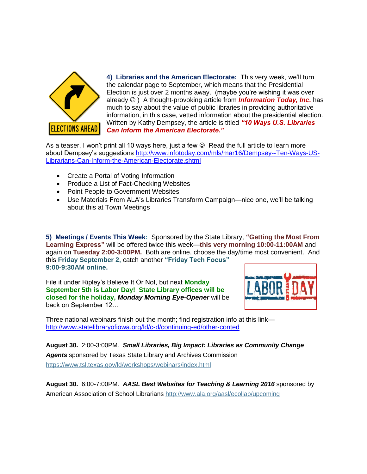

**4) Libraries and the American Electorate:** This very week, we'll turn the calendar page to September, which means that the Presidential Election is just over 2 months away. (maybe you're wishing it was over already ) A thought-provoking article from *Information Today, Inc***.** has much to say about the value of public libraries in providing authoritative information, in this case, vetted information about the presidential election. Written by Kathy Dempsey, the article is titled *"10 Ways U.S. Libraries Can Inform the American Electorate."* 

As a teaser, I won't print all 10 ways here, just a few  $\heartsuit$  Read the full article to learn more about Dempsey's suggestions [http://www.infotoday.com/mls/mar16/Dempsey--Ten-Ways-US-](http://www.infotoday.com/mls/mar16/Dempsey--Ten-Ways-US-Librarians-Can-Inform-the-American-Electorate.shtml)[Librarians-Can-Inform-the-American-Electorate.shtml](http://www.infotoday.com/mls/mar16/Dempsey--Ten-Ways-US-Librarians-Can-Inform-the-American-Electorate.shtml)

- Create a Portal of Voting Information
- Produce a List of Fact-Checking Websites
- Point People to Government Websites
- Use Materials From ALA's Libraries Transform Campaign—nice one, we'll be talking about this at Town Meetings

**5) Meetings / Events This Week:** Sponsored by the State Library, **"Getting the Most From Learning Express"** will be offered twice this week—**this very morning 10:00-11:00AM** and again on **Tuesday 2:00-3:00PM.** Both are online, choose the day/time most convenient. And this **Friday September 2,** catch another **"Friday Tech Focus" 9:00-9:30AM online.**

File it under Ripley's Believe It Or Not, but next **Monday September 5th is Labor Day! State Library offices will be closed for the holiday,** *Monday Morning Eye-Opener* will be back on September 12…



Three national webinars finish out the month; find registration info at this link <http://www.statelibraryofiowa.org/ld/c-d/continuing-ed/other-conted>

**August 30.** 2:00-3:00PM.*Small Libraries, Big Impact: Libraries as Community Change Agents* sponsored by Texas State Library and Archives Commission <https://www.tsl.texas.gov/ld/workshops/webinars/index.html>

**August 30.** 6:00-7:00PM.*AASL Best Websites for Teaching & Learning 2016* sponsored by American Association of School Librarians<http://www.ala.org/aasl/ecollab/upcoming>